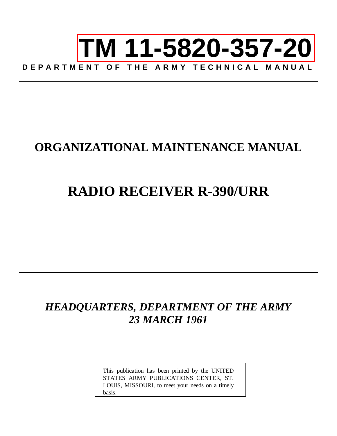# **[TM 11-5820-357-20](#page-5-0) DEPARTMENT OF THE ARMY TECHNICAL MANUAL**

# **ORGANIZATIONAL MAINTENANCE MANUAL**

# **RADIO RECEIVER R-390/URR**

## *HEADQUARTERS, DEPARTMENT OF THE ARMY 23 MARCH 1961*

This publication has been printed by the UNITED STATES ARMY PUBLICATIONS CENTER, ST. LOUIS, MISSOURI, to meet your needs on a timely basis.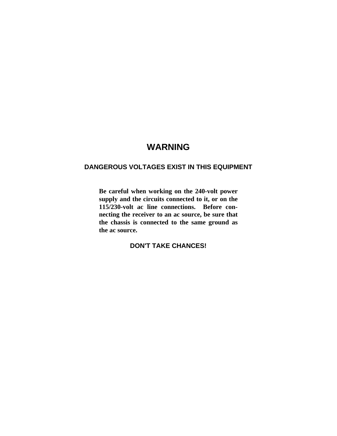## **WARNING**

## **DANGEROUS VOLTAGES EXIST IN THIS EQUIPMENT**

**Be careful when working on the 240-volt power** supply and the circuits connected to it, or on the **115/230-volt ac line connections. Before connecting the receiver to an ac source, be sure that the chassis is connected to the same ground as the ac source.**

## **DON'T TAKE CHANCES!**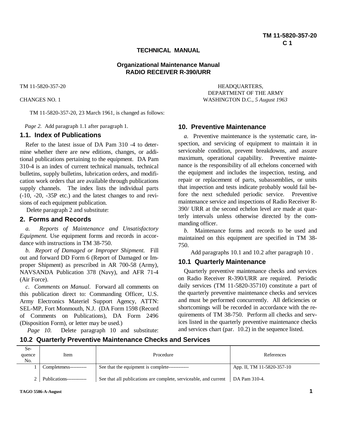#### **TECHNICAL MANUAL**

**Organizational Maintenance Manual RADIO RECEIVER R-390/URR**

TM 11-5820-357-20, 23 March 1961, is changed as follows:

*Page 2.* Add paragraph 1.1 after paragraph 1.

#### **1.1. Index of Publications**

Refer to the latest issue of DA Pam 310 -4 to determine whether there are new editions, changes, or additional publications pertaining to the equipment. DA Pam 310-4 is an index of current technical manuals, technical bulletins, supply bulletins, lubrication orders, and modification work orders that are available through publications supply channels. The index lists the individual parts (-10, -20, -35P etc.) and the latest changes to and revisions of each equipment publication.

Delete paragraph 2 and substitute:

#### **2. Forms and Records**

*a. Reports of Maintenance and Unsatisfactory Equipment.* Use equipment forms and records in accordance with instructions in TM 38-750.

*b. Report of Damaged or Improper Shipment.* Fill out and forward DD Form 6 (Report of Damaged or Improper Shipment) as prescribed in AR 700-58 (Army), NAVSANDA Publication 378 (Navy), and AFR 71-4 (Air Force).

*c. Comments on Manual.* Forward all comments on this publication direct to: Commanding Officer, U.S. Army Electronics Materiel Support Agency, ATTN: SEL-MP, Fort Monmouth, N.J. (DA Form 1598 (Record of Comments on Publications), DA Form 2496 (Disposition Form), or letter may be used.)

*Page 10.* Delete paragraph 10 and substitute:

TM 11-5820-357-20 HEADQUARTERS, DEPARTMENT OF THE ARMY CHANGES NO. 1 WASHINGTON D.C., *5 August 1963*

#### **10. Preventive Maintenance**

*a.* Preventive maintenance is the systematic care, inspection, and servicing of equipment to maintain it in serviceable condition, prevent breakdowns, and assure maximum, operational capability. Preventive maintenance is the responsibility of all echelons concerned with the equipment and includes the inspection, testing, and repair or replacement of parts, subassemblies, or units that inspection and tests indicate probably would fail before the next scheduled periodic service. Preventive maintenance service and inspections of Radio Receiver R-390/ URR at the second echelon level are made at quarterly intervals unless otherwise directed by the commanding officer.

*b.* Maintenance forms and records to be used and maintained on this equipment are specified in TM 38- 750.

Add paragraphs 10.1 and 10.2 after paragraph 10 .

#### **10.1 Quarterly Maintenance**

Quarterly preventive maintenance checks and services on Radio Receiver R-390/URR are required. Periodic daily services (TM 11-5820-35710) constitute a part of the quarterly preventive maintenance checks and services and must be performed concurrently. All deficiencies or shortcomings will be recorded in accordance with the requirements of TM 38-750. Perform all checks and services listed in the quarterly preventive maintenance checks and services chart (par. 10.2) in the sequence listed.

**10.2 Quarterly Preventive Maintenance Checks and Services**

| Se-<br>quence<br>No. | Item                     | Procedure                                                        | References                 |
|----------------------|--------------------------|------------------------------------------------------------------|----------------------------|
|                      | Completeness----------   | See that the equipment is complete-------------                  | App. II, TM 11-5820-357-10 |
| ∼                    | Publications------------ | See that all publications are complete, serviceable, and current | DA Pam 310-4.              |

**TAGO 5586-A-August 1**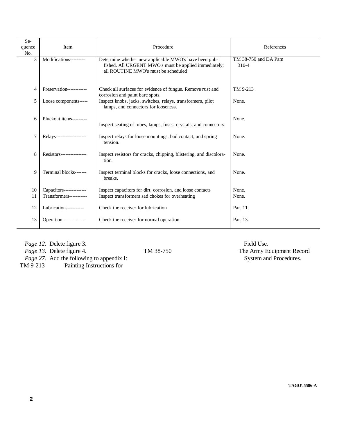| Se-<br>quence<br>No. | Item                      | Procedure                                                                                                                                             | References                    |
|----------------------|---------------------------|-------------------------------------------------------------------------------------------------------------------------------------------------------|-------------------------------|
| 3                    | Modifications---------    | Determine whether new applicable MWO's have been pub-<br>fished. All URGENT MWO's must be applied immediately;<br>all ROUTINE MWO's must be scheduled | TM 38-750 and DA Pam<br>310-4 |
| 4                    | Preservation------------  | Check all surfaces for evidence of fungus. Remove rust and<br>corrosion and paint bare spots.                                                         | TM 9-213                      |
| 5                    | Loose components-----     | Inspect knobs, jacks, switches, relays, transformers, pilot<br>lamps, and connectors for looseness.                                                   | None.                         |
| 6                    | Pluckout items---------   | Inspect seating of tubes, lamps, fuses, crystals, and connectors.                                                                                     | None.                         |
| 7                    | Relays------------------- | Inspect relays for loose mountings, bad contact, and spring<br>tension.                                                                               | None.                         |
| 8                    | Resistors---------------- | Inspect resistors for cracks, chipping, blistering, and discolora-<br>tion.                                                                           | None.                         |
| 9                    | Terminal blocks-------    | Inspect terminal blocks for cracks, loose connections, and<br>breaks.                                                                                 | None.                         |
| 10                   | Capacitors--------------  | Inspect capacitors for dirt, corrosion, and loose contacts                                                                                            | None.                         |
| 11                   | Transformers-----------   | Inspect transformers sad chokes for overheating                                                                                                       | None.                         |
| 12                   | Lubrications----------    | Check the receiver for lubrication                                                                                                                    | Par. 11.                      |
| 13                   | Operation--------------   | Check the receiver for normal operation                                                                                                               | Par. 13.                      |

*Page 12.* Delete figure 3. *Page 13.* Delete figure 4.

TM 38-750

*Page 27.* Add the following to appendix I:

TM 9-213 Painting Instructions for

Field Use. The Army Equipment Record System and Procedures.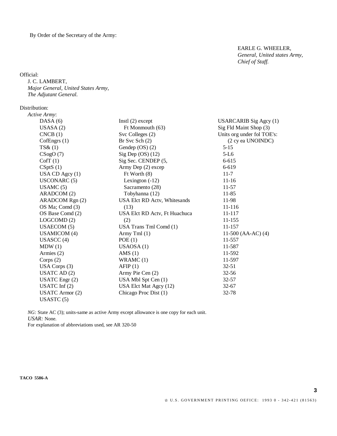By Order of the Secretary of the Army:

Official:

J. C. LAMBERT, *Major General, United States Army, The Adjutant General.*

Distribution:

| Active Army:           |                               |                               |
|------------------------|-------------------------------|-------------------------------|
| DASA(6)                | Instl $(2)$ except            | <b>USARCARIB</b> Sig Agcy (1) |
| USASA $(2)$            | Ft Monmouth (63)              | Sig Fld Maint Shop (3)        |
| CNCB(1)                | Svc Colleges (2)              | Units org under fol TOE's:    |
| CofEngrs $(1)$         | Br Svc Sch $(2)$              | (2 cy ea UNOINDC)             |
| TS&(1)                 | Gendep $OS(2)$                | $5 - 15$                      |
| CSogO(7)               | Sig Dep $OS(12)$              | $5-L6$                        |
| CofT(1)                | Sig Sec. CENDEP (5,           | 6-615                         |
| CSptS(1)               | Army Dep (2) excep            | 6-619                         |
| USA CD Agcy (1)        | $Ft$ Worth $(8)$              | $11 - 7$                      |
| <b>USCONARC</b> (5)    | Lexington $(-12)$             | $11 - 16$                     |
| USAMC(5)               | Sacramento (28)               | $11-57$                       |
| ARADCOM (2)            | Tobyhanna (12)                | 11-85                         |
| ARADCOM Rgn (2)        | USA Elct RD Actv, Whitesands  | 11-98                         |
| OS Ma; Comd (3)        | (13)                          | 11-116                        |
| OS Base Comd (2)       | USA Elct RD Actv, Ft Huachuca | 11-117                        |
| LOGCOMD(2)             | (2)                           | 11-155                        |
| USAECOM(5)             | USA Trans Tml Comd (1)        | 11-157                        |
| <b>USAMICOM</b> (4)    | Army Tml $(1)$                | 11-500 (AA-AC) $(4)$          |
| USASCC $(4)$           | POE(1)                        | 11-557                        |
| MDW(1)                 | USAOSA $(1)$                  | 11-587                        |
| Armies $(2)$           | AMS $(1)$                     | 11-592                        |
| Corps $(2)$            | WRAMC $(1)$                   | 11-597                        |
| USA Corps $(3)$        | AFIP(1)                       | $32 - 51$                     |
| USATC AD $(2)$         | Army Pie Cen (2)              | $32 - 56$                     |
| USATC Engr $(2)$       | USA Mbl Spt Cen (1)           | $32 - 57$                     |
| USATC Inf $(2)$        | USA Elct Mat Agcy (12)        | $32 - 67$                     |
| <b>USATC</b> Armor (2) | Chicago Proc Dist (1)         | 32-78                         |
| USASTC $(5)$           |                               |                               |

*NG*: State AC (3); units-same as active Army except allowance is one copy for each unit. *USAR:* None.

For explanation of abbreviations used, see AR 320-50

EARLE G. WHEELER, *General, United states Army, Chief of Staff.*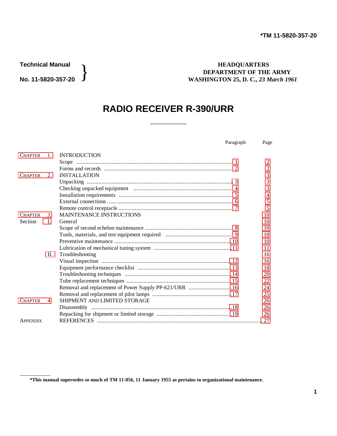$\overline{\phantom{a}}$ 

}

### <span id="page-5-0"></span>**Technical Manual N HEADQUARTERS DEPARTMENT OF THE ARMY No. 11-5820-357-20 ∫** WASHINGTON 25, D. C., 23 March 1961

## **RADIO RECEIVER R-390/URR**

**\_\_\_\_\_\_\_**

| Paragraph | Page |
|-----------|------|
|           |      |

| <b>CHAPTER</b>  | $\mathbf{1}$ .         | <b>INTRODUCTION</b>                                   |                |
|-----------------|------------------------|-------------------------------------------------------|----------------|
|                 |                        |                                                       | $\mathfrak{D}$ |
|                 |                        |                                                       | 2              |
| <b>CHAPTER</b>  | 2.                     | <b>INSTALLATION</b>                                   | 3              |
|                 |                        |                                                       | 3              |
|                 |                        |                                                       | 3              |
|                 |                        |                                                       | 4              |
|                 |                        |                                                       | 5              |
|                 |                        |                                                       | 5              |
| <b>CHAPTER</b>  | $\mathcal{R}_{\alpha}$ | <b>MAINTENANCE INSTRUCTIONS</b>                       | 10             |
| Section         | L.                     | General                                               | 10             |
|                 |                        |                                                       | 10             |
|                 |                        |                                                       | 10             |
|                 |                        |                                                       | 10             |
|                 |                        |                                                       | 11             |
|                 | П.                     | Troubleshooting                                       | 16             |
|                 |                        |                                                       | 16             |
|                 |                        |                                                       | 18             |
|                 |                        |                                                       | 20             |
|                 |                        |                                                       | 22             |
|                 |                        | Removal and replacement of Power Supply PP-621/URR 16 | 24             |
|                 |                        |                                                       | 25             |
| <b>CHAPTER</b>  | 4.                     | SHIPMENT AND LIMITED STORAGE                          | 26             |
|                 |                        |                                                       | 26             |
|                 |                        |                                                       | 26             |
| <b>APPENDIX</b> |                        |                                                       |                |

**<sup>\*</sup>This manual supersedes so much of TM 11-856, 11 January 1955 as pertains to organizational maintenance.**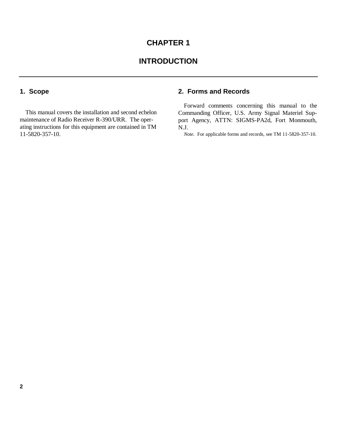## **INTRODUCTION**

## <span id="page-6-0"></span>**1. Scope**

This manual covers the installation and second echelon maintenance of Radio Receiver R-390/URR. The operating instructions for this equipment are contained in TM 11-5820-357-10.

## **2. Forms and Records**

Forward comments concerning this manual to the Commanding Officer, U.S. Army Signal Materiel Support Agency, ATTN: SIGMS-PA2d, Fort Monmouth, N.J.

*Note.* For applicable forms and records, see TM 11-5820-357-10.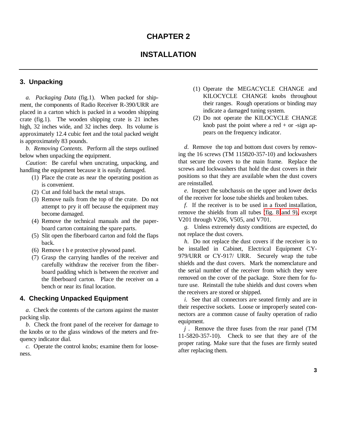## <span id="page-7-0"></span>**3. Unpacking**

*a. Packaging Data* (fig.1). When packed for shipment, the components of Radio Receiver R-390/URR are placed in a carton which is packed in a wooden shipping crate (fig.1). The wooden shipping crate is 21 inches high, 32 inches wide, and 32 inches deep. Its volume is approximately 12.4 cubic feet and the total packed weight is approximately 83 pounds.

*b. Removing Contents.* Perform all the steps outlined below when unpacking the equipment.

*Caution*: Be careful when uncrating, unpacking, and handling the equipment because it is easily damaged.

- (1) Place the crate as near the operating position as is convenient.
- (2) Cut and fold back the metal straps.
- (3) Remove nails from the top of the crate. Do not attempt to pry it off because the equipment may become damaged.
- (4) Remove the technical manuals and the paperboard carton containing the spare parts.
- (5) Slit open the fiberboard carton and fold the flaps back.
- (6) Remove t h e protective plywood panel.
- (7) Grasp the carrying handles of the receiver and carefully withdraw the receiver from the fiberboard padding which is between the receiver and the fiberboard carton. Place the receiver on a bench or near its final location.

## **4. Checking Unpacked Equipment**

*a*. Check the contents of the cartons against the master packing slip.

*b*. Check the front panel of the receiver for damage to the knobs or to the glass windows of the meters and frequency indicator dial.

*c.* Operate the control knobs; examine them for looseness.

- (1) Operate the MEGACYCLE CHANGE and KILOCYCLE CHANGE knobs throughout their ranges. Rough operations or binding may indicate a damaged tuning system.
- (2) Do not operate the KILOCYCLE CHANGE knob past the point where a red  $+$  or -sign appears on the frequency indicator.

*d*. Remove the top and bottom dust covers by removing the 16 screws (TM 115820-357-10) and lockwashers that secure the covers to the main frame. Replace the screws and lockwashers that hold the dust covers in their positions so that they are available when the dust covers are reinstalled.

*e*. Inspect the subchassis on the upper and lower decks of the receiver for loose tube shields and broken tubes.

*f*. If the receiver is to be used in a fixed installation, remove the shields from all tubes [\(fig. 8](#page-21-0) [and 9\),](#page-22-0) except V201 through V206, V505, and V701.

*g.* Unless extremely dusty conditions are expected, do not replace the dust covers.

*h*. Do not replace the dust covers if the receiver is to be installed in Cabinet, Electrical Equipment CY-979/URR or CY-917/ URR. Securely wrap the tube shields and the dust covers. Mark the nomenclature and the serial number of the receiver from which they were removed on the cover of the package. Store them for future use. Reinstall the tube shields and dust covers when the receivers are stored or shipped.

*i.* See that all connectors are seated firmly and are in their respective sockets. Loose or improperly seated connectors are a common cause of faulty operation of radio equipment.

*j* . Remove the three fuses from the rear panel (TM 11-5820-357-10). Check to see that they are of the proper rating. Make sure that the fuses are firmly seated after replacing them.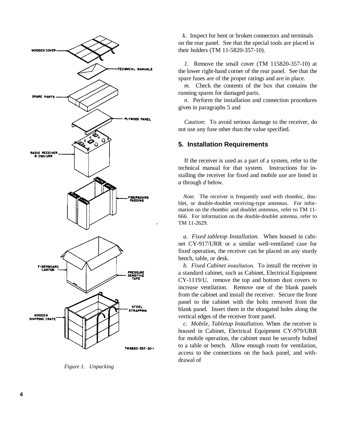<span id="page-8-0"></span>

*Figure 1. Unpacking*

*k*. Inspect for bent or broken connectors and terminals on the rear panel. See that the special tools are placed in their holders (TM 11-5820-357-10).

*1*. Remove the small cover (TM 115820-357-10) at the lower right-hand corner of the rear panel. See that the spare fuses are of the proper ratings and are in place.

*m*. Check the contents of the box that contains the running spares for damaged parts.

*n*. Perform the installation and connection procedures given in paragraphs 5 and

*Caution*: To avoid serious damage to the receiver, do not use any fuse other than the value specified.

#### **5. Installation Requirements**

If the receiver is used as a part of a system, refer to the technical manual for that system. Instructions for installing the receiver for fixed and mobile use are listed in *a* through *d* below.

*Note.* The receiver is frequently used with rhombic, doublet, or double-doublet receiving-type antennas. For information on the rhombic and doublet antennas, refer to TM 11- 666. For information on the double-doublet antenna, refer to TM 11-2629.

*a. Fixed tabletop Installation.* When housed in cabinet CY-917/URR or a similar well-ventilated case for fixed operation, the receiver can be placed on any sturdy bench, table, or desk.

*b. Fixed Cabinet installation.* To install the receiver in a standard cabinet, such as Cabinet, Electrical Equipment CY-1119/U. remove the top and bottom dust covers to increase ventilation. Remove one of the blank panels from the cabinet and install the receiver. Secure the front panel to the cabinet with the bolts removed from the blank panel. Insert them in the elongated holes along the vertical edges of the receiver front panel.

*c. Mobile, Tabletop Installation.* When the receiver is housed in Cabinet, Electrical Equipment CY-979/URR for mobile operation, the cabinet must be securely bolted to a table or bench. Allow enough room for ventilation, access to the connections on the back panel, and withdrawal of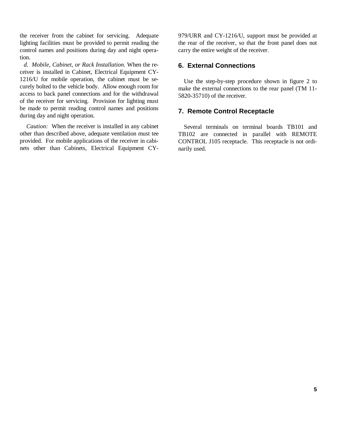<span id="page-9-0"></span>the receiver from the cabinet for servicing. Adequate lighting facilities must be provided to permit reading the control names and positions during day and night operation.

*d. Mobile, Cabinet, or Rack Installation.* When the receiver is installed in Cabinet, Electrical Equipment CY-1216/U for mobile operation, the cabinet must be securely bolted to the vehicle body. Allow enough room for access to back panel connections and for the withdrawal of the receiver for servicing. Provision for lighting must be made to permit reading control names and positions during day and night operation.

*Caution:* When the receiver is installed in any cabinet other than described above, adequate ventilation must tee provided. For mobile applications of the receiver in cabinets other than Cabinets, Electrical Equipment CY-

979/URR and CY-1216/U, support must be provided at the rear of the receiver, so that the front panel does not carry the entire weight of the receiver.

### **6. External Connections**

Use the step-by-step procedure shown in figure 2 to make the external connections to the rear panel (TM 11- 5820-35710) of the receiver.

#### **7. Remote Control Receptacle**

Several terminals on terminal boards TB101 and TB102 are connected in parallel with REMOTE CONTROL J105 receptacle. This receptacle is not ordinarily used.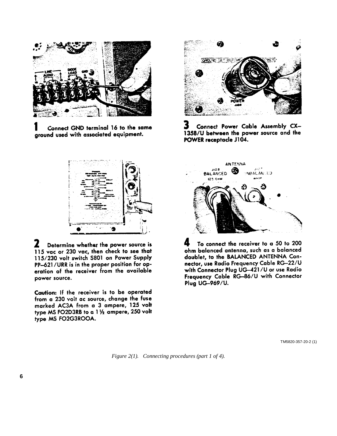

Connect GND terminal 16 to the same ground used with associated equipment.



Connect Power Cable Assembly CX-1358/U between the power source and the POWER receptacle J104.



Z. Determine whether the power source is 115 vac or 230 vac, then check to see that 115/230 volt switch S801 on Power Supply PP-621/URR is in the proper position for operation of the receiver from the available power source.

Caution: If the receiver is to be operated from a 230 volt ac source, change the fuse marked AC3A from a 3 ampere, 125 volt type MS FO2D3RB to a 11/2 ampere, 250 volt type MS FO2G3ROOA.



4 To connect the receiver to a 50 to 200 ohm balanced antenna, such as a balanced doublet, to the BALANCED ANTENNA Connector, use Radio Frequency Cable RG-22/U with Connector Plug UG-421/U or use Radio Frequency Cable RG-86/U with Connector Plug UG-969/U.

TM5820-357-20-2 (1)

*Figure 2(1). Connecting procedures (part 1 of 4).*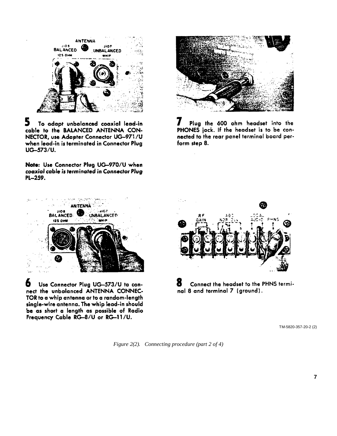

5 To adapt unbalanced coaxial lead-in cable to the BALANCED ANTENNA CON-NECTOR, use Adapter Connector UG-971/U when lead-in is terminated in Connector Plug UG-573/U.

Note: Use Connector Plug UG-970/U when coaxial cable is terminated in Connector Plug PL-259.



I Plug the 600 ohm headset into the PHONES jack. If the headset is to be connected to the rear panel terminal board perform step 8.



Ь Use Connector Plug UG-573/U to connect the unbalanced ANTENNA CONNEC-TOR to a whip antenna or to a random-length single-wire antenna. The whip lead-in should be as short a length as possible of Radio Frequency Cable RG-8/U or RG-11/U.



Connect the headset to the PHNS terminal 8 and terminal 7 (ground).

TM-5820-357-20-2 (2)

*Figure 2(2). Connecting procedure (part 2 of 4)*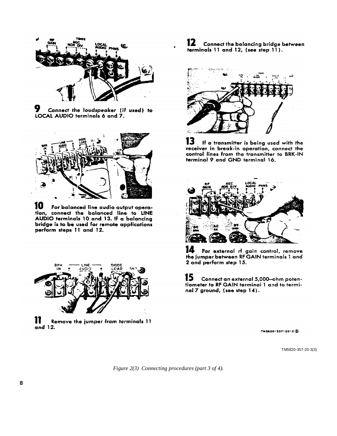

9 Connect the loudspeaker (if used) to LOCAL AUDIO terminals 6 and 7.



10 For balanced line audio output operation, connect the balanced line to LINE AUDIO terminals 10 and 13. If a balancing bridge is to be used for remote applications perform steps 11 and 12.



Ħ Remove the jumper from terminals 11 and 12.

12 Connect the balancing bridge between terminals 11 and 12, (see step 11).



13 If a transmitter is being used with the receiver in break-in operation, connect the control lines from the transmitter to BRK-IN terminal 9 and GND terminal 16.



14 For external rf gain control, remove the jumper between RF GAIN terminals 1 and 2 and perform step 15.

15 Connect an external 5,000-ohm potentiometer to RF GAIN terminal 1 and to terminal 7 ground, (see step 14).

TN5620-357-20-2 3

TM5820-357-20-3(3)

*Figure 2(3) Connecting procedures (part 3 of 4).*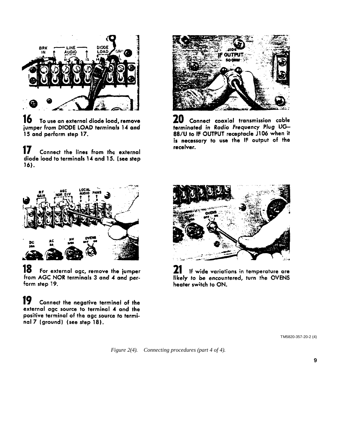

16 To use an external diode load, remove jumper from DIODE LOAD terminals 14 and 15 and perform step 17.

17 Connect the lines from the external diode load to terminals 14 and 15. (see step  $16$ .



20 Connect coaxial transmission cable terminated in Radio Frequency Plug UG-88/U to IF OUTPUT receptacle J106 when it is necessary to use the IF output of the receiver.



18 For external agc, remove the jumper from AGC NOR terminals 3 and 4 and perform step 19.

19 Connect the negative terminal of the external age source to terminal 4 and the positive terminal of the agc source to terminal 7 (ground) (see step 18).



ZI If wide variations in temperature are likely to be encountered, turn the OVENS heater switch to ON.

TM5820-357-20-2 (4)

*Figure 2(4). Connecting procedures (part 4 of 4).*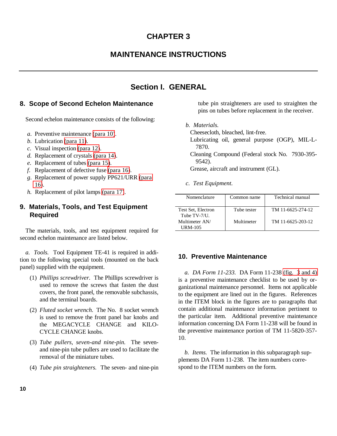## **CHAPTER 3**

## **MAINTENANCE INSTRUCTIONS**

## **Section I. GENERAL**

#### <span id="page-14-0"></span>**8. Scope of Second Echelon Maintenance**

Second echelon maintenance consists of the following:

- *a*. Preventive maintenance (para 10).
- *b*. Lubrication [\(para 11\)](#page-15-0).
- *c*. Visual inspection [\(para 12\)](#page-20-0).
- *d.* Replacement of crystals [\(para 14\)](#page-24-0).
- *e.* Replacement of tubes [\(para 15\)](#page-26-0).
- *f*. Replacement of defective fuse [\(para 16\)](#page-28-0).
- *g*. Replacement of power supply PP621/URR [\(para](#page-28-0)  [16\)](#page-28-0).
- *h.* Replacement of pilot lamps [\(para 17\)](#page-29-0).

## **9. Materials, Tools, and Test Equipment Required**

The materials, tools, and test equipment required for second echelon maintenance are listed below.

*a. Tools.* Tool Equipment TE-41 is required in addition to the following special tools (mounted on the back panel) supplied with the equipment.

- (1) *Phillips screwdriver.* The Phillips screwdriver is used to remove the screws that fasten the dust covers, the front panel, the removable subchassis, and the terminal boards.
- (2) *Fluted socket wrench.* The No. 8 socket wrench is used to remove the front panel bar knobs and the MEGACYCLE CHANGE and KILO-CYCLE CHANGE knobs.
- (3) *Tube pullers, seven-and nine-pin.* The sevenand nine-pin tube pullers are used to facilitate the removal of the miniature tubes.
- (4) *Tube pin straighteners.* The seven- and nine-pin

tube pin straighteners are used to straighten the pins on tubes before replacement in the receiver.

*b. Materials.*

Cheesecloth, bleached, lint-free.

- Lubricating oil, general purpose (OGP), MIL-L-7870.
- Cleaning Compound (Federal stock No. 7930-395- 9542).

Grease, aircraft and instrument (GL).

*c. Test Equipment.*

| Nomenclature                       | Common name | Technical manual  |
|------------------------------------|-------------|-------------------|
| Test Set, Electron<br>Tube TV-7/U. | Tube tester | TM 11-6625-274-12 |
| Multimeter AN/<br>URM-105          | Multimeter  | TM 11-6625-203-12 |

#### **10. Preventive Maintenance**

*a. DA Form 11-233.* DA Form 11-238 [\(fig. 3](#page-16-0) [and 4\)](#page-17-0) is a preventive maintenance checklist to be used by organizational maintenance personnel. Items not applicable to the equipment are lined out in the figures. References in the ITEM block in the figures are to paragraphs that contain additional maintenance information pertinent to the particular item. Additional preventive maintenance information concerning DA Form 11-238 will be found in the preventive maintenance portion of TM 11-5820-357- 10.

*b. Items.* The information in this subparagraph supplements DA Form 11-238. The item numbers correspond to the ITEM numbers on the form.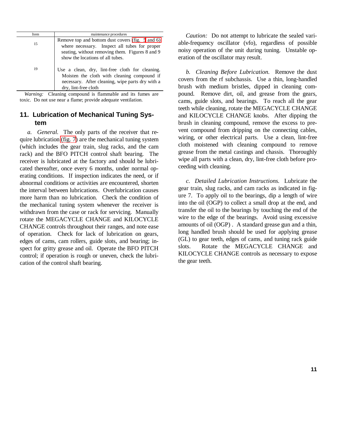<span id="page-15-0"></span>

| Item | maintenance procedures                                                                                                                                                     |
|------|----------------------------------------------------------------------------------------------------------------------------------------------------------------------------|
| 15   | Remove top and bottom dust covers (fig. 5 and 6)<br>where necessary. Inspect all tubes for proper                                                                          |
|      | seating, without removing them. Figures 8 and 9<br>show the locations of all tubes.                                                                                        |
| 19   | Use a clean, dry, lint-free cloth for cleaning.<br>Moisten the cloth with cleaning compound if<br>necessary. After cleaning, wipe parts dry with a<br>dry, lint-free cloth |

*Warning:* Cleaning compound is flammable and its fumes are toxic. Do not use near a flame; provide adequate ventilation.

## **11. Lubrication of Mechanical Tuning System**

*a. General.* The only parts of the receiver that require lubrication [\(fig. 7\)](#page-20-0) are the mechanical tuning system (which includes the gear train, slug racks, and the cam rack) and the BFO PITCH control shaft bearing. The receiver is lubricated at the factory and should be lubricated thereafter, once every 6 months, under normal operating conditions. If inspection indicates the need, or if abnormal conditions or activities are encountered, shorten the interval between lubrications. Overlubrication causes more harm than no lubrication. Check the condition of the mechanical tuning system whenever the receiver is withdrawn from the case or rack for servicing. Manually rotate the MEGACYCLE CHANGE and KILOCYCLE CHANGE controls throughout their ranges, and note ease of operation. Check for lack of lubrication on gears, edges of cams, cam rollers, guide slots, and bearing; inspect for gritty grease and oil. Operate the BFO PITCH control; if operation is rough or uneven, check the lubrication of the control shaft bearing.

*Caution:* Do not attempt to lubricate the sealed variable-frequency oscillator (vfo), regardless of possible noisy operation of the unit during tuning. Unstable operation of the oscillator may result.

*b. Cleaning Before Lubrication.* Remove the dust covers from the rf subchassis. Use a thin, long-handled brush with medium bristles, dipped in cleaning compound. Remove dirt, oil, and grease from the gears, cams, guide slots, and bearings. To reach all the gear teeth while cleaning, rotate the MEGACYCLE CHANGE and KILOCYCLE CHANGE knobs. After dipping the brush in cleaning compound, remove the excess to prevent compound from dripping on the connecting cables, wiring, or other electrical parts. Use a clean, lint-free cloth moistened with cleaning compound to remove grease from the metal castings and chassis. Thoroughly wipe all parts with a clean, dry, lint-free cloth before proceeding with cleaning.

*c. Detailed Lubrication Instructions.* Lubricate the gear train, slug racks, and cam racks as indicated in figure 7. To apply oil to the bearings, dip a length of wire into the oil (OGP) to collect a small drop at the end, and transfer the oil to the bearings by touching the end of the wire to the edge of the bearings. Avoid using excessive amounts of oil (OGP) . A standard grease gun and a thin, long handled brush should be used for applying grease (GL) to gear teeth, edges of cams, and tuning rack guide slots. Rotate the MEGACYCLE CHANGE and KILOCYCLE CHANGE controls as necessary to expose the gear teeth.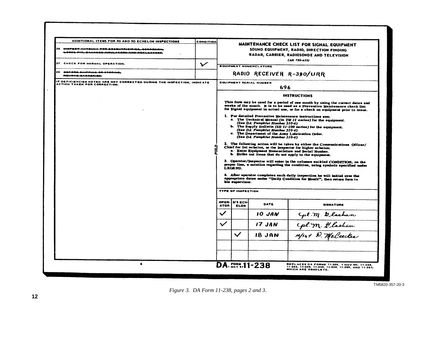| ADDITIONAL ITEMS FOR 2D AND 3D ECHELON INSPECTIONS                                                      | <b>CONDITION</b> |                                         |             |                                                                  |                                                                                                                                                                                                                                                                                                                                                                                   |  |
|---------------------------------------------------------------------------------------------------------|------------------|-----------------------------------------|-------------|------------------------------------------------------------------|-----------------------------------------------------------------------------------------------------------------------------------------------------------------------------------------------------------------------------------------------------------------------------------------------------------------------------------------------------------------------------------|--|
| 26. -MOPROT-ANTENNA-FOR-ECCENTRICITIES, CORROSION,                                                      |                  |                                         |             |                                                                  | MAINTENANCE CHECK LIST FOR SIGNAL EQUIPMENT                                                                                                                                                                                                                                                                                                                                       |  |
| 40065 FIT, DAMACED INIULATORE AND REKLECTORE                                                            |                  |                                         |             |                                                                  | SOUND EQUIPMENT, RADIO, DIRECTION FINDING                                                                                                                                                                                                                                                                                                                                         |  |
|                                                                                                         |                  |                                         |             |                                                                  | RADAR, CARRIER, RADIOSONDE AND TELEVISION<br>(AR 750-625)                                                                                                                                                                                                                                                                                                                         |  |
| 27. CHECK FOR NORMAL OPERATION.                                                                         | $\checkmark$     | <b>EQUIPMENT NOMENCLATURE</b>           |             |                                                                  |                                                                                                                                                                                                                                                                                                                                                                                   |  |
| 28. <del>GEFORE SHIPPING OR STORING.</del><br><b><i>REMOVE-BARTSBIRG</i></b>                            |                  |                                         |             |                                                                  | RADIO RECEIVER R-390/URR                                                                                                                                                                                                                                                                                                                                                          |  |
| IF DEFICIENCIES NOTED ARE NOT CORRECTED DURING THE INSPECTION, INDICATE<br>ACTION TAKEN FOR CORRECTION. |                  | EQUIPMENT SERIAL NUMBER                 |             |                                                                  |                                                                                                                                                                                                                                                                                                                                                                                   |  |
|                                                                                                         |                  |                                         |             |                                                                  | 696                                                                                                                                                                                                                                                                                                                                                                               |  |
|                                                                                                         |                  |                                         |             |                                                                  | <b>INSTRUCTIONS</b>                                                                                                                                                                                                                                                                                                                                                               |  |
|                                                                                                         |                  |                                         |             |                                                                  | This form may be used for a period of one month by using the correct dates and<br>weeks of the month. It is to be used as a Preventive Maintenance check list<br>for Signal equipment in actual use, or for a check on equipment prior to issue.                                                                                                                                  |  |
|                                                                                                         |                  |                                         |             | (See DA Pemphiet Number 310-4)<br>(See DA Pamphlet Number 310-4) | 1. For detailed Preventive Maintenance instructions see:<br>a. The Technical Manual (in TM 11 series) for the equipment.<br>b. The Supply Builetin (SB 11-100 series) for the equipment.<br>c. The Department of the Army Lubrication Order.                                                                                                                                      |  |
|                                                                                                         |                  |                                         |             | (See DA Pamphiet Number 310-4)                                   |                                                                                                                                                                                                                                                                                                                                                                                   |  |
|                                                                                                         |                  |                                         |             |                                                                  | 2. The following action will be taken by either the Communications Officer/<br>Chief for 1st echeion, or the Inspector for higher echeion:<br>a. Enter Equipment Nomenclature and Serial Number.                                                                                                                                                                                  |  |
|                                                                                                         |                  | LEGEND.<br>his supervisor.              |             |                                                                  | b. Strike out items that do not apply to the equipment.<br>3. Operator/Inspector will enter in the columns entitled CONDITION, on the<br>proper line, a notation regarding the condition, using symbols specified under<br>4. After operator completes each daily inspection he will initial over the<br>appropriate dates under "Daily Condition for Month", then return form to |  |
|                                                                                                         |                  | <b>TYPE OF INSPECTION</b>               |             |                                                                  |                                                                                                                                                                                                                                                                                                                                                                                   |  |
|                                                                                                         |                  |                                         |             |                                                                  |                                                                                                                                                                                                                                                                                                                                                                                   |  |
|                                                                                                         |                  | OPER-<br><b>2/3 ECH-</b><br><b>ATOR</b> | <b>ELON</b> | DATE                                                             | <b>SIGNATURE</b>                                                                                                                                                                                                                                                                                                                                                                  |  |
|                                                                                                         |                  | $\checkmark$                            |             | 10 JAN                                                           |                                                                                                                                                                                                                                                                                                                                                                                   |  |
|                                                                                                         |                  | $\checkmark$                            |             | <i><b>IT JAN</b></i>                                             | Cpl. M. Glashan<br>Cpl. M. Glashan<br>M54+ D. McCuclar                                                                                                                                                                                                                                                                                                                            |  |
|                                                                                                         |                  | $\checkmark$                            |             | <b>18 JAN</b>                                                    |                                                                                                                                                                                                                                                                                                                                                                                   |  |
|                                                                                                         |                  |                                         |             |                                                                  |                                                                                                                                                                                                                                                                                                                                                                                   |  |
|                                                                                                         |                  |                                         |             |                                                                  |                                                                                                                                                                                                                                                                                                                                                                                   |  |
| 4                                                                                                       |                  | DA. FORM, 11-238                        |             |                                                                  | REPLACES DA FORMS 11-230, 1 NOV 55; 11-239,<br>11-244, 11-245, 11-248, 11-249, 11-250, AND 11-251;                                                                                                                                                                                                                                                                                |  |

*Figure 3. DA Form 11-238, pages 2 and 3* .

<span id="page-16-0"></span>f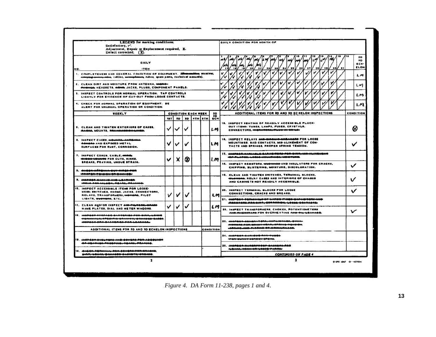<span id="page-17-0"></span>

| <b>LEGEND</b> for marking conditions:<br>Satisfactory, y.<br>Adjustment, Repair or Replacement required, X.<br>Defect corrected, (X). |                                                                                                                                                             |     |   |   |                        |  |                                                                                                 |                                                                                                                                                                                                                                                                                                         | DAILY CONDITION FOR MONTH OF                                                                                                                                               |                      |
|---------------------------------------------------------------------------------------------------------------------------------------|-------------------------------------------------------------------------------------------------------------------------------------------------------------|-----|---|---|------------------------|--|-------------------------------------------------------------------------------------------------|---------------------------------------------------------------------------------------------------------------------------------------------------------------------------------------------------------------------------------------------------------------------------------------------------------|----------------------------------------------------------------------------------------------------------------------------------------------------------------------------|----------------------|
| DAILY<br>ITEM<br>NO.                                                                                                                  |                                                                                                                                                             |     |   |   |                        |  |                                                                                                 | M/<br> M <br>Mw<br>MG/<br>m4<br>LW<br>من<br>nt (e)<br>wW<br>M6<br>$(n-1)$<br>/195<br>$\overline{\mathbf{z}}$<br>28<br>27<br>$\bullet$<br>$\bullet$<br>$\ddot{\bullet}$<br>$\overline{20}$<br>$\overline{\mathbf{z}}$<br>$\overline{\phantom{a}}$<br>24<br><br>$\bullet$<br>$\mathbf{u}$<br>$\mathbf{r}$ | $\mathbf{z}$<br>$\bullet$<br>ECH-<br>ELON                                                                                                                                  |                      |
|                                                                                                                                       | 1. COMPLETENESS AND GENERAL CONDITION OF EQUIPMENT. Framention recoiver,<br>ampung massarintan, cabies, miamphanon, tubes, apara parts, tocimical manuele). |     |   |   |                        |  |                                                                                                 | v                                                                                                                                                                                                                                                                                                       | v                                                                                                                                                                          | <b>LM</b>            |
|                                                                                                                                       | 2. CLEAN DIRT AND MOISTURE FROM ANTENNA, MANHO<br><b>PHONGO, HEADSETS, MOVO, JACKS, PLUGS, COMPONENT PANELS.</b>                                            |     |   |   |                        |  |                                                                                                 |                                                                                                                                                                                                                                                                                                         | v<br>v<br>v<br>v                                                                                                                                                           | レベー                  |
|                                                                                                                                       | 3. INSPECT CONTROLS FOR NORMAL OPERATION. TAP CONTROLS<br>LIGHTLY FOR EVIDENCE OF CUT-OUT FROM LOOSE CONTACTS.                                              |     |   |   |                        |  |                                                                                                 |                                                                                                                                                                                                                                                                                                         | v<br>v<br>v<br>v                                                                                                                                                           | LM                   |
|                                                                                                                                       | 4. CHECK FOR HORMAL OPERATION OF EQUIPMENT. BE<br>ALERT FOR UNUSUAL OPERATION OR CONDITION.                                                                 |     |   |   |                        |  |                                                                                                 |                                                                                                                                                                                                                                                                                                         |                                                                                                                                                                            | レベト                  |
|                                                                                                                                       | WEEKLY                                                                                                                                                      |     |   |   | CONDITION EACH WEEK    |  | 20<br>30                                                                                        |                                                                                                                                                                                                                                                                                                         | ADDITIONAL ITEMS FOR 2D AND 3D EC HELON INSPECTIONS                                                                                                                        | CONDITION            |
|                                                                                                                                       |                                                                                                                                                             | 18T |   |   | <b>AD I BD ATH STH</b> |  | ECH                                                                                             |                                                                                                                                                                                                                                                                                                         |                                                                                                                                                                            |                      |
|                                                                                                                                       | <b>8. CLEAN AND TIGHTEN EXTERIORS OF CASES.</b><br>AASKA, MOUNTS, PRANCHOCHON-LINES.                                                                        | ✓   | ✓ | ✓ |                        |  | LM                                                                                              |                                                                                                                                                                                                                                                                                                         | IS. INSPECT SEATING OF READILY ACCESSIBLE PLUCK-<br>OUT ITEMS: TUBES, LAMPS, FUSES, CRYSTALS,<br>CONNECTORS, MIGRARDRO, PLUG IN COILO                                      | Ø                    |
|                                                                                                                                       | 6. INSPECT CASES, MOUNTAL ANTENNA<br><b>SANGAS AND EXPOSED METAL</b><br>SURFACES FOR RUST, CORROSION.                                                       |     | v | ✔ |                        |  | LΜ                                                                                              |                                                                                                                                                                                                                                                                                                         | 18. INSPECT RELAYS AND CIRCUIT BREAKERS FOR LOOSE<br>MOUNTINGS, BAD CONTACTS, MIS-ALINEMENT OF CON-<br>TACTS AND SPRINGS, PROPER SPRING TENSION.                           |                      |
|                                                                                                                                       | 7. INSPECT CORDS, CABLE, MING.<br>CHOCH-MOUNTD FOR CUTS, KINKS,<br>BREAKS, FRAYING, UNDUE STRAIN.                                                           | v   | x | 0 |                        |  | l m                                                                                             |                                                                                                                                                                                                                                                                                                         | 17. 4NSPS40-VARIASLE-GARACITORS-POR-DIRT, MIS-AUMININING<br>-BP-PLATOR-LOCCO-MOUNTHIOS, MOISTURE.<br>18. INSPECT RESISTORS, <del>GUSHINGS</del> AND INSULATORS FOR CRACKS, |                      |
|                                                                                                                                       | 1. augan ulagun sur maga pan<br>-RASABA-TENNISH-SA-DAMASE-                                                                                                  |     |   |   |                        |  |                                                                                                 |                                                                                                                                                                                                                                                                                                         | CHIPPING, BLISTERING, MOISTURE, DISCOLORATION.<br>19. CLEAN AND TIGHTEN SWITCHES, TERMINAL BLOCKS,                                                                         | ✓                    |
|                                                                                                                                       | <b>D. ANGRESS-BANNAS-AND-LEATHER</b><br>IPEMI-POR MILOGR, POARD, PRAVING                                                                                    |     |   |   |                        |  |                                                                                                 |                                                                                                                                                                                                                                                                                                         | CLOWGOS, REL'AY CASES AND INTERIORS OF CHASSIS<br>AND CABINETS NOT READILY ACCESSIBLE.                                                                                     |                      |
|                                                                                                                                       | O. INSPECT ACCESSIBLE ITEMS FOR LOOSE-<br>NESE: SWITCHES, KNOBS, JACKS, CONNECTORS,<br>RELAYS, TRANSFORMERS, 1007070, PILOT<br>LIGHTS, GUOVERO, ETC.        |     | v | ✓ |                        |  | LM                                                                                              |                                                                                                                                                                                                                                                                                                         | 20. INSPECT TERMINAL BLOCKS FOR LOOSE<br>CONNECTIONS, CRACKS AND BREAKS.                                                                                                   |                      |
|                                                                                                                                       | II. CLEAN AND/OR INSPECT <del>AND FILEBRA BRASS</del><br>NAME PLATES, DIAL AND METER WINDOWS.                                                               |     |   |   |                        |  | LM                                                                                              |                                                                                                                                                                                                                                                                                                         | 21. HISPEST-FERMINALD-DF-WARDE-FINED-DAPADIRARIANID<br>ASSISSORS FOR DIRT, CORROSION, LOOSE-CONTACTO,                                                                      |                      |
|                                                                                                                                       | 12. <del>JIIDDES ATORAEG BATTERIBO FOR BIRT, LOTO</del> B                                                                                                   |     |   |   |                        |  |                                                                                                 |                                                                                                                                                                                                                                                                                                         | 22. INSPECT TRANSFORMERS, CHOKES, POTENTIONETERS<br>AND RINGOSTAGE FOR OVERHEATING AND ONLINEARAGE.                                                                        |                      |
|                                                                                                                                       | TERMINALA, APECIFIC SAAVITY, BAMABER BASES.<br>INSPECT DAY SATTERIES FOR LEAKAGE                                                                            |     |   |   |                        |  |                                                                                                 |                                                                                                                                                                                                                                                                                                         | 23. HIGREST-GENERATORS-MININGIBUNGS-DUN<br>MOCORE-FOR-BRUSH-WEAR, GRAINS-VENSION,                                                                                          |                      |
|                                                                                                                                       | ADDITIONAL ITEMS FOR 2D AND 3D ECHELON INSPECTIONS                                                                                                          |     |   |   |                        |  | CONDITION                                                                                       |                                                                                                                                                                                                                                                                                                         | ARCHCAND FIREING OF GOINHEASOR                                                                                                                                             |                      |
| 1. WADGOT-SHOUTORS-AND-DOUGRO-FOR-ADGOUADH<br>CA-WEARHER-PRODPING, TEARS, FRAMME.                                                     |                                                                                                                                                             |     |   |   |                        |  | 24. NISPESS-SATHSDE-RAH-PUDES<br>-POR-DURKT-DORDON-DPOTO.<br>21. HIDRESS-NARERFROOF-EASKEFS-EOR |                                                                                                                                                                                                                                                                                                         |                                                                                                                                                                            |                      |
| 4:1501-740111111-000-001-00100-000-001-0<br>**** <del>******************************</del>                                            |                                                                                                                                                             |     |   |   |                        |  | +4AK4, WORK-DR-WOODD-PAROE-<br><b>CONTINUED ON PAGE 4</b>                                       |                                                                                                                                                                                                                                                                                                         |                                                                                                                                                                            |                      |
|                                                                                                                                       | 2                                                                                                                                                           |     |   |   |                        |  |                                                                                                 |                                                                                                                                                                                                                                                                                                         | з                                                                                                                                                                          |                      |
|                                                                                                                                       |                                                                                                                                                             |     |   |   |                        |  |                                                                                                 |                                                                                                                                                                                                                                                                                                         |                                                                                                                                                                            | 49-400-1007 0-427034 |

*Figure 4. DA Form 11-238, pages 1 and 4* .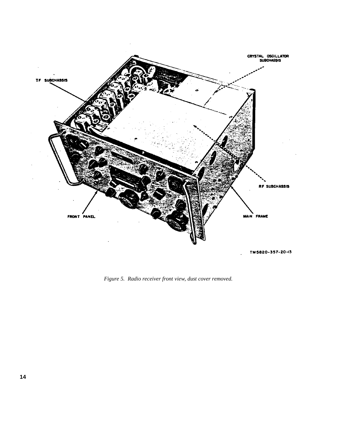<span id="page-18-0"></span>

*Figure 5. Radio receiver front view, dust cover removed.*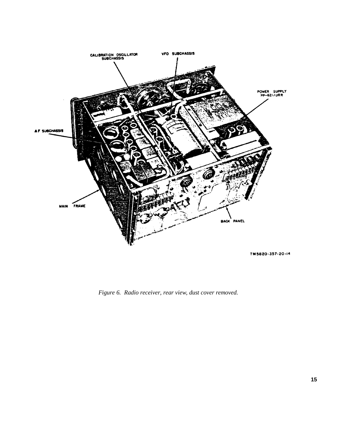<span id="page-19-0"></span>

*Figure 6. Radio receiver, rear view, dust cover removed.*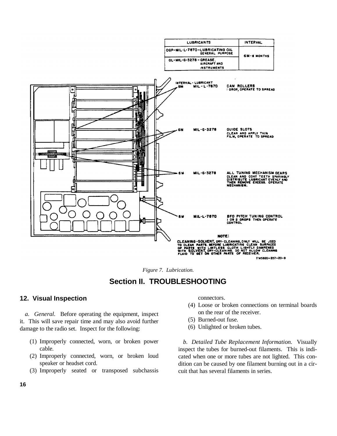<span id="page-20-0"></span>

*Figure 7. Lubrication.*

## **Section II. TROUBLESHOOTING**

#### **12. Visual Inspection**

*a. General.* Before operating the equipment, inspect it. This will save repair time and may also avoid further damage to the radio set. Inspect for the following:

- (1) Improperly connected, worn, or broken power cable.
- (2) Improperly connected, worn, or broken loud speaker or headset cord.
- (3) Improperly seated or transposed subchassis

connectors.

- (4) Loose or broken connections on terminal boards on the rear of the receiver.
- (5) Burned-out fuse.
- (6) Unlighted or broken tubes.

*b. Detailed Tube Replacement Information.* Visually inspect the tubes for burned-out filaments. This is indicated when one or more tubes are not lighted. This condition can be caused by one filament burning out in a circuit that has several filaments in series.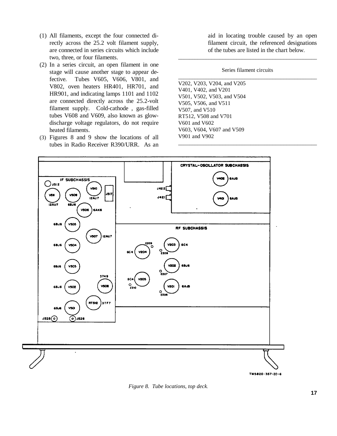- <span id="page-21-0"></span>(1) All filaments, except the four connected directly across the 25.2 volt filament supply, are connected in series circuits which include two, three, or four filaments.
- (2) In a series circuit, an open filament in one stage will cause another stage to appear defective. Tubes V605, V606, V801, and V802, oven heaters HR401, HR701, and HR901, and indicating lamps 1101 and 1102 are connected directly across the 25.2-volt filament supply. Cold-cathode , gas-filled tubes V608 and V609, also known as glowdischarge voltage regulators, do not require heated filaments.
- (3) Figures 8 and 9 show the locations of all tubes in Radio Receiver R390/URR. As an

aid in locating trouble caused by an open filament circuit, the referenced designations of the tubes are listed in the chart below.

#### Series filament circuits \_\_\_\_\_\_\_\_\_\_\_\_\_\_\_\_\_\_\_\_\_\_\_\_\_\_\_\_\_\_\_\_\_\_\_\_\_\_\_\_\_\_\_\_\_\_\_\_\_\_

\_\_\_\_\_\_\_\_\_\_\_\_\_\_\_\_\_\_\_\_\_\_\_\_\_\_\_\_\_\_\_\_\_\_\_\_\_\_\_\_\_\_\_\_\_\_\_\_\_\_

\_\_\_\_\_\_\_\_\_\_\_\_\_\_\_\_\_\_\_\_\_\_\_\_\_\_\_\_\_\_\_\_\_\_\_\_\_\_\_\_\_\_\_\_\_\_\_\_\_\_

V202, V203, V204, and V205 V401, V402, and V201 V501, V502, V503, and V504 V505, V506, and V511 V507, and V510 RT512, V508 and V701 V601 and V602 V603, V604, V607 and V509 V901 and V902



*Figure 8. Tube locations, top deck.*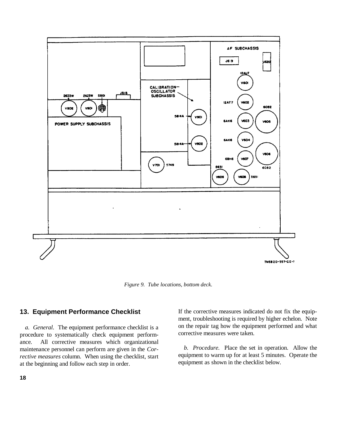<span id="page-22-0"></span>

*Figure 9. Tube locations, bottom deck.*

## **13. Equipment Performance Checklist**

*a. General.* The equipment performance checklist is a procedure to systematically check equipment performance. All corrective measures which organizational maintenance personnel can perform are given in the *Corrective measures* column. When using the checklist, start at the beginning and follow each step in order.

If the corrective measures indicated do not fix the equipment, troubleshooting is required by higher echelon. Note on the repair tag how the equipment performed and what corrective measures were taken.

*b. Procedure.* Place the set in operation. Allow the equipment to warm up for at least 5 minutes. Operate the equipment as shown in the checklist below.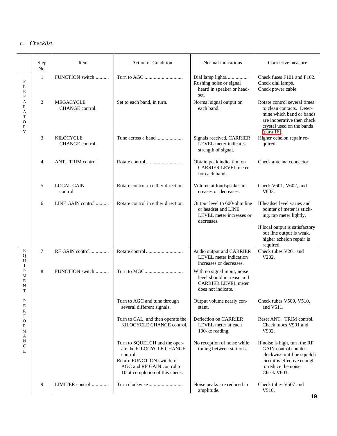## *c. Checklist.*

|                                        | Step<br>No.    | Item                                | Action or Condition                                                                                                                                                 | Normal indications                                                                                           | Corrective measure                                                                                                                                                              |
|----------------------------------------|----------------|-------------------------------------|---------------------------------------------------------------------------------------------------------------------------------------------------------------------|--------------------------------------------------------------------------------------------------------------|---------------------------------------------------------------------------------------------------------------------------------------------------------------------------------|
| P<br>R<br>Ε<br>P                       | $\mathbf{1}$   | FUNCTION switch                     |                                                                                                                                                                     | Dial lamp lights<br>Rushing noise or signal<br>heard in speaker or head-<br>set.                             | Check fuses F101 and F102.<br>Check dial lamps.<br>Check power cable.                                                                                                           |
| A<br>R<br>A<br>T<br>$\Omega$<br>R<br>Y | 2              | <b>MEGACYCLE</b><br>CHANGE control. | Set to each band, in turn.                                                                                                                                          | Normal signal output on<br>each band.                                                                        | Rotate control several times<br>to clean contacts. Deter-<br>mine which band or bands<br>are inoperative then check<br>crystal used on the bands<br>(para 16).                  |
|                                        | 3              | <b>KILOCYCLE</b><br>CHANGE control. | Tune across a band                                                                                                                                                  | Signals received, CARRIER<br>LEVEL meter indicates<br>strength of signal.                                    | Higher echelon repair re-<br>quired.                                                                                                                                            |
|                                        | $\overline{4}$ | ANT. TRIM control.                  |                                                                                                                                                                     | Obtain peak indication on<br><b>CARRIER LEVEL meter</b><br>for each band.                                    | Check antenna connector.                                                                                                                                                        |
|                                        | 5              | <b>LOCAL GAIN</b><br>control.       | Rotate control in either direction.                                                                                                                                 | Volume at loudspeaker in-<br>creases or decreases.                                                           | Check V601, V602, and<br>V603.                                                                                                                                                  |
|                                        | 6              | LINE GAIN control                   | Rotate control in either direction.                                                                                                                                 | Output level to 600-ohm line<br>or headset and LINE<br>LEVEL meter increases or<br>decreases.                | If headset level varies and<br>pointer of meter is stick-<br>ing, tap meter lightly.<br>If local output is satisfactory<br>but line output is weak,<br>higher echelon repair is |
| Е<br>Q<br>U                            | $\tau$         | RF GAIN control                     |                                                                                                                                                                     | Audio output and CARRIER<br>LEVEL meter indication<br>increases or decreases.                                | required.<br>Check tubes V201 and<br>V202.                                                                                                                                      |
| I<br>P<br>М<br>Ε<br>N<br>T             | 8              | FUNCTION switch                     |                                                                                                                                                                     | With no signal input, noise<br>level should increase and<br><b>CARRIER LEVEL meter</b><br>does not indicate. |                                                                                                                                                                                 |
| $\, {\bf P}$<br>E<br>$\mathbb R$       |                |                                     | Turn to AGC and tune through<br>several different signals.                                                                                                          | Output volume nearly con-<br>stant.                                                                          | Check tubes V509, V510,<br>and V511.                                                                                                                                            |
| F<br>$\mathbf O$<br>R<br>М<br>A        |                |                                     | Turn to CAL, and then operate the<br>KILOCYCLE CHANGE control.                                                                                                      | Deflection on CARRIER<br>LEVEL meter at each<br>100-kc reading.                                              | Reset ANT. TRIM control.<br>Check tubes V901 and<br>V902.                                                                                                                       |
| N<br>$\mathsf{C}$<br>E                 |                |                                     | Turn to SQUELCH and the oper-<br>ate the KILOCYCLE CHANGE<br>control.<br>Return FUNCTION switch to<br>AGC and RF GAIN control to<br>10 at completion of this check. | No reception of noise while<br>tuning between stations.                                                      | If noise is high, turn the RF<br>GAIN control counter-<br>clockwise until he squelch<br>circuit is effective enough<br>to reduce the noise.<br>Check V601.                      |
|                                        | 9              | LIMITER control                     |                                                                                                                                                                     | Noise peaks are reduced in<br>amplitude.                                                                     | Check tubes V507 and<br>V510.                                                                                                                                                   |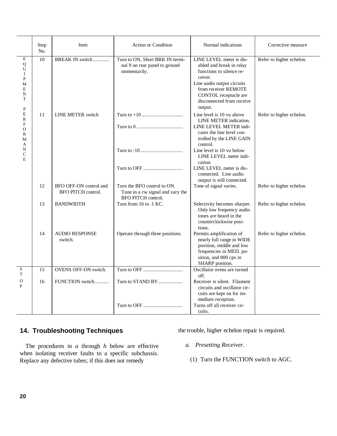<span id="page-24-0"></span>

|                                                                    | Step<br>No. | Item                                         | <b>Action or Condition</b>                                                                   | Normal indications                                                                                                                                                                                                 | Corrective measure       |
|--------------------------------------------------------------------|-------------|----------------------------------------------|----------------------------------------------------------------------------------------------|--------------------------------------------------------------------------------------------------------------------------------------------------------------------------------------------------------------------|--------------------------|
| E<br>Q<br>$\mathbf U$<br>I<br>$\mathbf P$<br>M<br>E<br>N<br>T<br>P | 10          | BREAK IN switch                              | Turn to ON, Short BRK IN termi-<br>nal 9 on rear panel to ground<br>momentarily.             | LINE LEVEL meter is dis-<br>abled and break in relay<br>functions to silence re-<br>ceiver.<br>Line audio output circuits<br>from receiver REMOTE<br>CONTOL receptacle are<br>disconnected from receive<br>output. | Refer to higher echelon. |
| E<br>R<br>$\mathbf F$<br>O<br>R<br>М<br>A                          | 11          | <b>LINE METER switch</b>                     |                                                                                              | Line level is 10 vu above<br>LINE METER indication.<br>LINE LEVEL METER indi-<br>cates the line level con-<br>trolled by the LINE GAIN<br>control.                                                                 | Refer to higher echelon. |
| N<br>$\mathsf{C}$<br>E                                             |             |                                              | Turn to OFF                                                                                  | Line level is 10 vu below<br>LINE LEVEL meter indi-<br>cation.<br>LINE LEVEL meter is dis-<br>connected. Line audio                                                                                                |                          |
|                                                                    | 12          | BFO OFF-ON control and<br>BFO PITCH control. | Turn the BFO control to ON.<br>Tune in a cw signal and vary the<br><b>BFO PITCH control.</b> | output is still connected.<br>Tone of signal varies.                                                                                                                                                               | Refer to higher echelon. |
|                                                                    | 13          | <b>BANDWIDTH</b>                             | Turn from 16 to .1 KC.                                                                       | Selectivity becomes sharper.<br>Only low frequency audio<br>tones are heard in the<br>counterclockwise posi-<br>tions.                                                                                             | Refer to higher echelon. |
|                                                                    | 14          | <b>AUDIO RESPONSE</b><br>switch.             | Operate through three positions.                                                             | Permits amplification of<br>nearly full range in WIDE<br>position, middle and low<br>frequencies in MED. po-<br>sition, and 800 cps in<br>SHARP position.                                                          | Refer to higher echelon. |
| ${\bf S}$<br>T                                                     | 15          | OVENS OFF-ON switch.                         |                                                                                              | Oscillator ovens are turned                                                                                                                                                                                        |                          |
| $\mathbf O$<br>P                                                   | 16          | FUNCTION switch                              | Turn to STAND BY                                                                             | off.<br>Receiver is silent. Filament<br>circuits and oscillator cir-<br>cuits are kept on for im-<br>mediate reception.                                                                                            |                          |
|                                                                    |             |                                              | Turn to OFF                                                                                  | Turns off all receiver cir-<br>cuits.                                                                                                                                                                              |                          |

## **14. Troubleshooting Techniques**

The procedures in *a* through *h* below are effective when isolating receiver faults to a specific subchassis. Replace any defective tubes; if this does not remedy

the trouble, higher echelon repair is required.

- *a. Presetting Receiver.*
	- (1) Turn the FUNCTION switch to AGC.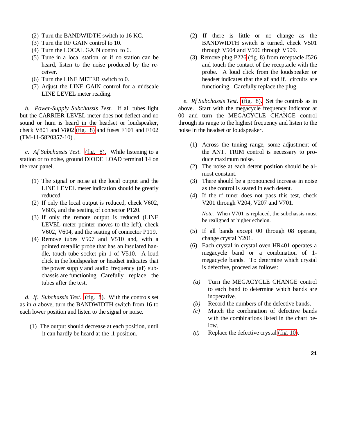- (2) Turn the BANDWIDTH switch to 16 KC.
- (3) Turn the RF GAIN control to 10.
- (4) Turn the LOCAL GAIN control to 6.
- (5) Tune in a local station, or if no station can be heard, listen to the noise produced by the receiver.
- (6) Turn the LINE METER switch to 0.
- (7) Adjust the LINE GAIN control for a midscale LINE LEVEL meter reading.

*b. Power-Supply Subchassis Test.* If all tubes light but the CARRIER LEVEL meter does not deflect and no sound or hum is heard in the headset or loudspeaker, check V801 and V802 [\(fig. 8\)](#page-21-0) and fuses F101 and F102 (TM-11-5820357-10) .

*c. Af Subchassis Test.* [\(fig. 8\).](#page-21-0) While listening to a station or to noise, ground DIODE LOAD terminal 14 on the rear panel.

- (1) The signal or noise at the local output and the LINE LEVEL meter indication should be greatly reduced.
- (2) If only the local output is reduced, check V602, V603, and the seating of connector P120.
- (3) If only the remote output is reduced (LINE LEVEL meter pointer moves to the left), check V602, V604, and the seating of connector P119.
- (4) Remove tubes V507 and V510 and, with a pointed metallic probe that has an insulated handle, touch tube socket pin 1 of V510. A loud click in the loudspeaker or headset indicates that the power supply and audio frequency (af) subchassis are functioning. Carefully replace the tubes after the test.

*d. If. Subchassis Test.* [\(fig. 8](#page-21-0)). With the controls set as in *a* above, turn the BANDWIDTH switch from 16 to each lower position and listen to the signal or noise.

(1) The output should decrease at each position, until it can hardly be heard at the .1 position.

- (2) If there is little or no change as the BANDWIDTH switch is turned, check V501 through V504 and V506 through V509.
- (3) Remove plug P226 [\(fig. 8\) f](#page-21-0)rom receptacle J526 and touch the contact of the receptacle with the probe. A loud click from the loudspeaker or headset indicates that the af and if. circuits are functioning. Carefully replace the plug.

*e. Rf Subchassis Test.* [\(fig. 8\).](#page-21-0) Set the controls as in above. Start with the megacycle frequency indicator at 00 and turn the MEGACYCLE CHANGE control through its range to the highest frequency and listen to the noise in the headset or loudspeaker.

- (1) Across the tuning range, some adjustment of the ANT. TRIM control is necessary to produce maximum noise.
- (2) The noise at each detent position should be almost constant.
- (3) There should be a pronounced increase in noise as the control is seated in each detent.
- (4) If the rf tuner does not pass this test, check V201 through V204, V207 and V701.

*Note.* When V701 is replaced, the subchassis must be realigned at higher echelon.

- (5) If all bands except 00 through 08 operate, change crystal Y201.
- (6) Each crystal in crystal oven HR401 operates a megacycle band or a combination of 1 megacycle bands. To determine which crystal is defective, proceed as follows:
- *(a)* Turn the MEGACYCLE CHANGE control to each band to determine which bands are inoperative.
- *(b)* Record the numbers of the defective bands.
- *(c)* Match the combination of defective bands with the combinations listed in the chart below.
- *(d)* Replace the defective crystal [\(fig. 10\)](#page-27-0).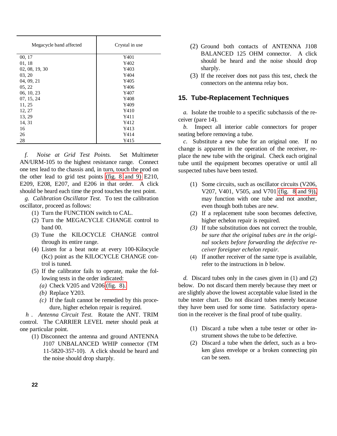<span id="page-26-0"></span>

| Megacycle band affected | Crystal in use |
|-------------------------|----------------|
| 00, 17                  | Y401           |
| 01, 18                  | Y402           |
| 02, 08, 19, 30          | Y403           |
| 03, 20                  | Y404           |
| 04, 09, 21              | Y405           |
| 05, 22                  | Y406           |
| 06, 10, 23              | Y407           |
| 07, 15, 24              | Y408           |
| 11, 25                  | Y409           |
| 12, 27                  | Y410           |
| 13, 29                  | Y411           |
| 14, 31                  | Y412           |
| 16                      | Y413           |
| 26                      | Y414           |
| 28                      | Y415           |

*f. Noise at Grid Test Points.* Set Multimeter AN/URM-105 to the highest resistance range. Connect one test lead to the chassis and, in turn, touch the prod on the other lead to grid test points [\(fig. 8](#page-21-0) [and 9\)](#page-22-0) E210, E209, E208, E207, and E206 in that order. A click should be heard each time the prod touches the test point.

*g. Calibration Oscillator Test.* To test the calibration oscillator, proceed as follows:

- (1) Turn the FUNCTION switch to CAL.
- (2) Turn the MEGACYCLE CHANGE control to band 00.
- (3) Tune the KILOCYCLE CHANGE control through its entire range.
- (4) Listen for a beat note at every 100-Kilocycle (Kc) point as the KILOCYCLE CHANGE control is tuned.
- (5) If the calibrator fails to operate, make the following tests in the order indicated:
	- *(a)* Check V205 and V206 [\(fig. 8\).](#page-21-0)
	- *(b)* Replace Y203.
	- *(c)* If the fault cannot be remedied by this procedure, higher echelon repair is required.

*h . Antenna Circuit Test.* Rotate the ANT. TRIM control. The CARRIER LEVEL meter should peak at one particular point.

(1) Disconnect the antenna and ground ANTENNA J107 UNBALANCED WHIP connector (TM 11-5820-357-10). A click should be heard and the noise should drop sharply.

- (2) Ground both contacts of ANTENNA J108 BALANCED 125 OHM connector. A click should be heard and the noise should drop sharply.
- (3) If the receiver does not pass this test, check the connectors on the antenna relay box.

### **15. Tube-Replacement Techniques**

*a.* Isolate the trouble to a specific subchassis of the receiver (pare 14).

*b.* Inspect all interior cable connectors for proper seating before removing a tube.

*c*. Substitute a new tube for an original one. If no change is apparent in the operation of the receiver, replace the new tube with the original. Check each original tube until the equipment becomes operative or until all suspected tubes have been tested.

- (1) Some circuits, such as oscillator circuits (V206, V207, V401, V505, and V701 [\(fig. 8](#page-21-0) [and 9\)\),](#page-22-0) may function with one tube and not another, even though both tubes are new.
- (2) If a replacement tube soon becomes defective, higher echelon repair is required.
- *(3)* If tube substitution does not correct the trouble, *be sure that the original tubes are in the original sockets before forwarding the defective receiver foreigner echelon repair.*
- (4) If another receiver of the same type is available, refer to the instructions in *b* below.

*d.* Discard tubes only in the cases given in (1) and (2) below. Do not discard them merely because they meet or are slightly above the lowest acceptable value listed in the tube tester chart. Do not discard tubes merely because they have been used for some time. Satisfactory operation in the receiver is the final proof of tube quality.

- (1) Discard a tube when a tube tester or other instrument shows the tube to be defective.
- (2) Discard a tube when the defect, such as a broken glass envelope or a broken connecting pin can be seen.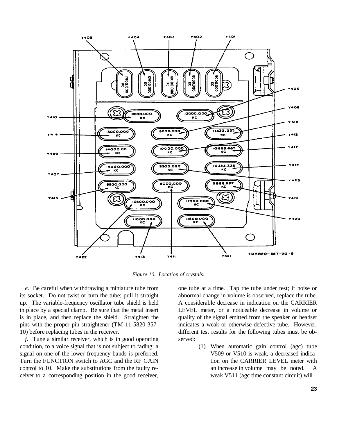<span id="page-27-0"></span>

*Figure 10. Location of crystals.*

*e*. Be careful when withdrawing a miniature tube from its socket. Do not twist or turn the tube; pull it straight up. The variable-frequency oscillator tube shield is held in place by a special clamp. Be sure that the metal insert is in place, and then replace the shield. Straighten the pins with the proper pin straightener (TM 11-5820-357- 10) before replacing tubes in the receiver.

*f*. Tune a similar receiver, which is in good operating condition, to a voice signal that is not subject to fading; a signal on one of the lower frequency bands is preferred. Turn the FUNCTION switch to AGC and the RF GAIN control to 10. Make the substitutions from the faulty receiver to a corresponding position in the good receiver,

one tube at a time. Tap the tube under test; if noise or abnormal change in volume is observed, replace the tube. A considerable decrease in indication on the CARRIER LEVEL meter, or a noticeable decrease in volume or quality of the signal emitted from the speaker or headset indicates a weak or otherwise defective tube. However, different test results for the following tubes must be observed:

> (1) When automatic gain control (agc) tube V509 or V510 is weak, a decreased indication on the CARRIER LEVEL meter with an increase in volume may be noted. A weak V511 (agc time constant circuit) will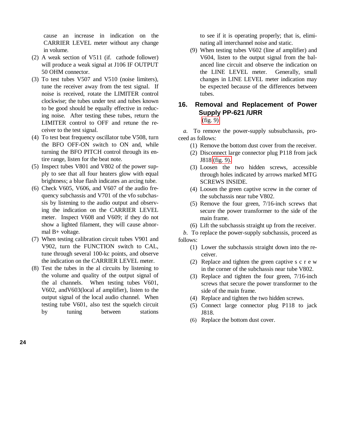<span id="page-28-0"></span>cause an increase in indication on the CARRIER LEVEL meter without any change in volume.

- (2) A weak section of V511 (if. cathode follower) will produce a weak signal at J106 IF OUTPUT 50 OHM connector.
- (3) To test tubes V507 and V510 (noise limiters), tune the receiver away from the test signal. If noise is received, rotate the LIMITER control clockwise; the tubes under test and tubes known to be good should be equally effective in reducing noise. After testing these tubes, return the LIMITER control to OFF and retune the receiver to the test signal.
- (4) To test beat frequency oscillator tube V508, turn the BFO OFF-ON switch to ON and, while turning the BFO PITCH control through its entire range, listen for the beat note.
- (5) Inspect tubes V801 and V802 of the power supply to see that all four heaters glow with equal brightness; a blue flash indicates an arcing tube.
- (6) Check V605, V606, and V607 of the audio frequency subchassis and V701 of the vfo subchassis by listening to the audio output and observing the indication on the CARRIER LEVEL meter. Inspect V608 and V609; if they do not show a lighted filament, they will cause abnormal B+ voltage.
- (7) When testing calibration circuit tubes V901 and V902, turn the FUNCTION switch to CAL, tune through several 100-kc points, and observe the indication on the CARRIER LEVEL meter.
- (8) Test the tubes in the al circuits by listening to the volume and quality of the output signal of the al channels. When testing tubes V601, V602, andV603(local af amplifier), listen to the output signal of the local audio channel. When testing tube V601, also test the squelch circuit by tuning between stations

to see if it is operating properly; that is, eliminating all interchannel noise and static.

(9) When testing tubes V602 (line af amplifier) and V604, listen to the output signal from the balanced line circuit and observe the indication on the LINE LEVEL meter. Generally, small changes in LINE LEVEL meter indication may be expected because of the differences between tubes.

## **16. Removal and Replacement of Power Supply PP-621 /URR** [\(fig. 9\)](#page-22-0)

*a.* To remove the power-supply subsubchassis, proceed as follows:

- (1) Remove the bottom dust cover from the receiver.
- (2) Disconnect large connector plug P118 from jack J818 [\(fig. 9\).](#page-22-0)
- (3) Loosen the two hidden screws, accessible through holes indicated by arrows marked MTG SCREWS INSIDE.
- (4) Loosen the green captive screw in the corner of the subchassis near tube V802.
- (5) Remove the four green, 7/16-inch screws that secure the power transformer to the side of the main frame.
- (6) Lift the subchassis straight up from the receiver.

*b*. To replace the power-supply subchassis, proceed as follows:

- (1) Lower the subchassis straight down into the receiver.
- (2) Replace and tighten the green captive s c r e w in the corner of the subchassis near tube V802.
- (3) Replace and tighten the four green, 7/16-inch screws that secure the power transformer to the side of the main frame.
- (4) Replace and tighten the two hidden screws.
- (5) Connect large connector plug P118 to jack J818.
- (6) Replace the bottom dust cover.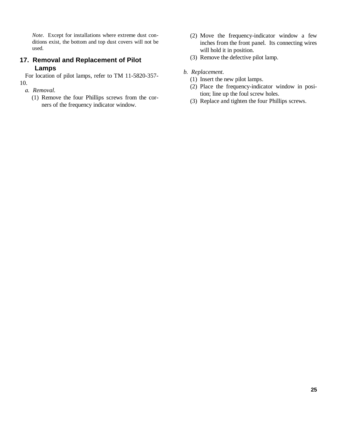<span id="page-29-0"></span>*Note.* Except for installations where extreme dust conditions exist, the bottom and top dust covers will not be used.

## **17. Removal and Replacement of Pilot Lamps**

For location of pilot lamps, refer to TM 11-5820-357- 10.

- *a. Removal.*
	- (1) Remove the four Phillips screws from the corners of the frequency indicator window.
- (2) Move the frequency-indicator window a few inches from the front panel. Its connecting wires will hold it in position.
- (3) Remove the defective pilot lamp.

## *b. Replacement.*

- (1) Insert the new pilot lamps.
- (2) Place the frequency-indicator window in position; line up the foul screw holes.
- (3) Replace and tighten the four Phillips screws.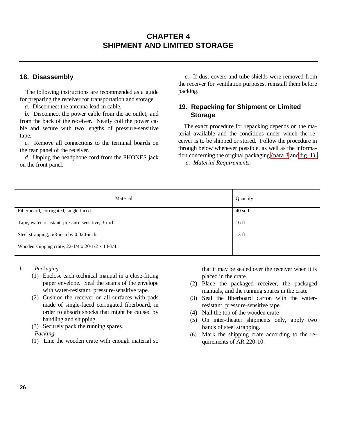## <span id="page-30-0"></span>**18. Disassembly**

The following instructions are recommended as a guide for preparing the receiver for transportation and storage.

*a.* Disconnect the antenna lead-in cable.

*b.* Disconnect the power cable from the ac outlet, and from the back of the receiver. Neatly coil the power cable and secure with two lengths of pressure-sensitive tape.

*c.* Remove all connections to the terminal boards on the rear panel of the receiver.

*d.* Unplug the headphone cord from the PHONES jack on the front panel.

*e.* If dust covers and tube shields were removed from the receiver for ventilation purposes, reinstall them before packing.

## **19. Repacking for Shipment or Limited Storage**

The exact procedure for repacking depends on the material available and the conditions under which the receiver is to be shipped or stored. Follow the procedure in through below whenever possible, as well as the information concerning the original packaging [\(para 3](#page-7-0) and [fig. 1\).](#page-8-0)

*a. Material Requirements.*

| Material                                           | Quantity        |
|----------------------------------------------------|-----------------|
| Fiberboard, corrugated, single-faced.              | $40$ sq ft      |
| Tape, water-resistant, pressure-sensitive, 3-inch. | $16$ ft         |
| Steel strapping, 5/8-inch by 0.020-inch.           | $13 \text{ ft}$ |
| Wooden shipping crate, 22-1/4 x 20-1/2 x 14-3/4.   |                 |

#### *b. Packaging.*

- (1) Enclose each technical manual in a close-fitting paper envelope. Seal the seams of the envelope with water-resistant, pressure-sensitive tape.
- (2) Cushion the receiver on all surfaces with pads made of single-faced corrugated fiberboard, in order to absorb shocks that might be caused by handling and shipping.
- (3) Securely pack the running spares.

*Packing.*

(1) Line the wooden crate with enough material so

that it may be sealed over the receiver when it is placed in the crate.

- (2) Place the packaged receiver, the packaged manuals, and the running spares in the crate.
- (3) Seal the fiberboard carton with the waterresistant, pressure-sensitive tape.
- (4) Nail the top of the wooden crate
- (5) On inter-theater shipments only, apply two bands of steel strapping.
- (6) Mark the shipping crate according to the requirements of AR 220-10.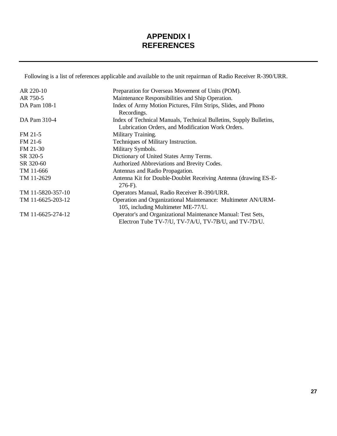## **APPENDIX I REFERENCES**

<span id="page-31-0"></span>Following is a list of references applicable and available to the unit repairman of Radio Receiver R-390/URR.

| AR 220-10         | Preparation for Overseas Movement of Units (POM).                                                                       |  |  |
|-------------------|-------------------------------------------------------------------------------------------------------------------------|--|--|
| AR 750-5          | Maintenance Responsibilities and Ship Operation.                                                                        |  |  |
| DA Pam 108-1      | Index of Army Motion Pictures, Film Strips, Slides, and Phono<br>Recordings.                                            |  |  |
| DA Pam 310-4      | Index of Technical Manuals, Technical Bulletins, Supply Bulletins,<br>Lubrication Orders, and Modification Work Orders. |  |  |
| FM 21-5           | Military Training.                                                                                                      |  |  |
| FM 21-6           | Techniques of Military Instruction.                                                                                     |  |  |
| FM 21-30          | Military Symbols.                                                                                                       |  |  |
| SR 320-5          | Dictionary of United States Army Terms.                                                                                 |  |  |
| SR 320-60         | Authorized Abbreviations and Brevity Codes.                                                                             |  |  |
| TM 11-666         | Antennas and Radio Propagation.                                                                                         |  |  |
| TM 11-2629        | Antenna Kit for Double-Doublet Receiving Antenna (drawing ES-E-<br>$276-F$ ).                                           |  |  |
| TM 11-5820-357-10 | Operators Manual, Radio Receiver R-390/URR.                                                                             |  |  |
| TM 11-6625-203-12 | Operation and Organizational Maintenance: Multimeter AN/URM-<br>105, including Multimeter ME-77/U.                      |  |  |
| TM 11-6625-274-12 | Operator's and Organizational Maintenance Manual: Test Sets,<br>Electron Tube TV-7/U, TV-7A/U, TV-7B/U, and TV-7D/U.    |  |  |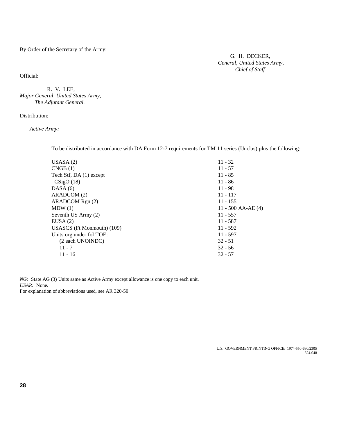By Order of the Secretary of the Army:

G. H. DECKER, *General, United States Army, Chief of Staff*

Official:

R. V. LEE, *Major General, United States Army, The Adjutant General.*

Distribution:

*Active Army:*

To be distributed in accordance with DA Form 12-7 requirements for TM 11 series (Unclas) plus the following:

| USASA(2)                   | $11 - 32$            |
|----------------------------|----------------------|
| CNGB(1)                    | $11 - 57$            |
| Tech Stf, DA (1) except    | $11 - 85$            |
| $\text{CSigO}(18)$         | $11 - 86$            |
| DASA (6)                   | $11 - 98$            |
| ARADCOM (2)                | $11 - 117$           |
| ARADCOM Rgn (2)            | $11 - 155$           |
| MDW(1)                     | 11 - 500 AA-AE $(4)$ |
| Seventh US Army (2)        | $11 - 557$           |
| EUSA(2)                    | $11 - 587$           |
| USASCS (Ft Monmouth) (109) | $11 - 592$           |
| Units org under fol TOE:   | $11 - 597$           |
| (2 each UNOINDC)           | $32 - 51$            |
| $11 - 7$                   | $32 - 56$            |
| $11 - 16$                  | $32 - 57$            |

*NG*: State AG (3) Units same as Active Army except allowance is one copy to each unit. *USAR:* None. For explanation of abbreviations used, see AR 320-50

> U.S. GOVERNMENT PRINTING OFFICE: 1974-550-680/2305 824-048